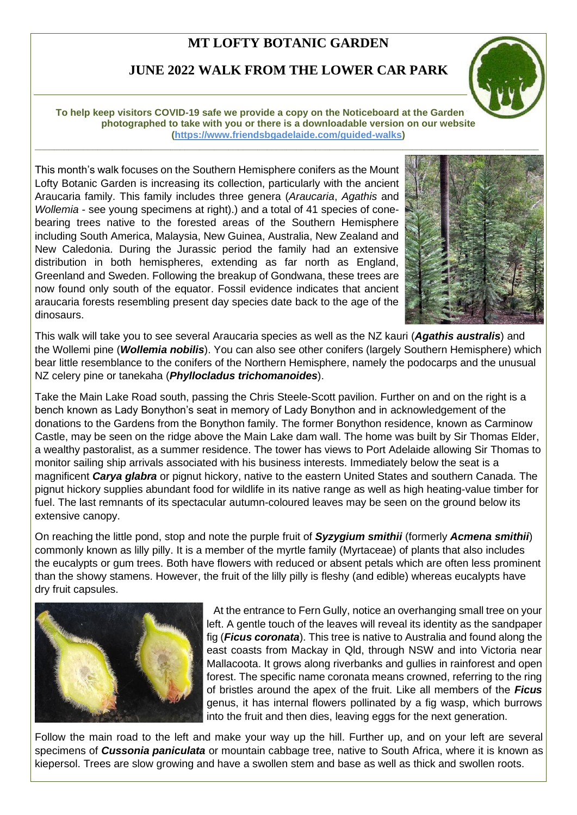## **MT LOFTY BOTANIC GARDEN**

## **JUNE 2022 WALK FROM THE LOWER CAR PARK**

\_\_\_\_\_\_\_\_\_\_\_\_\_\_\_\_\_\_\_\_\_\_\_\_\_\_\_\_\_\_\_\_\_\_\_\_\_\_\_\_\_\_\_\_\_\_\_\_\_\_\_\_\_\_\_\_\_\_\_\_\_\_\_\_\_\_\_\_\_\_\_\_\_\_\_\_\_\_\_\_\_\_\_\_\_\_\_\_\_\_\_\_\_\_\_\_\_\_\_\_\_\_\_\_

**To help keep visitors COVID-19 safe we provide a copy on the Noticeboard at the Garden that may be photographed to take with you or there is a downloadable version on our website [\(https://www.friendsbgadelaide.com/guided-walks\)](https://www.friendsbgadelaide.com/guided-walks)**

This month's walk focuses on the Southern Hemisphere conifers as the Mount Lofty Botanic Garden is increasing its collection, particularly with the ancient Araucaria family. This family includes three genera (*Araucaria*, *Agathis* and *Wollemia* - see young specimens at right).) and a total of 41 species of conebearing trees native to the forested areas of the Southern Hemisphere including South America, Malaysia, New Guinea, Australia, New Zealand and New Caledonia. During the Jurassic period the family had an extensive distribution in both hemispheres, extending as far north as England, Greenland and Sweden. Following the breakup of Gondwana, these trees are now found only south of the equator. Fossil evidence indicates that ancient araucaria forests resembling present day species date back to the age of the dinosaurs.



This walk will take you to see several Araucaria species as well as the NZ kauri (*Agathis australis*) and the Wollemi pine (*Wollemia nobilis*). You can also see other conifers (largely Southern Hemisphere) which bear little resemblance to the conifers of the Northern Hemisphere, namely the podocarps and the unusual NZ celery pine or tanekaha (*Phyllocladus trichomanoides*).

Take the Main Lake Road south, passing the Chris Steele-Scott pavilion. Further on and on the right is a bench known as Lady Bonython's seat in memory of Lady Bonython and in acknowledgement of the donations to the Gardens from the Bonython family. The former Bonython residence, known as Carminow Castle, may be seen on the ridge above the Main Lake dam wall. The home was built by Sir Thomas Elder, a wealthy pastoralist, as a summer residence. The tower has views to Port Adelaide allowing Sir Thomas to monitor sailing ship arrivals associated with his business interests. Immediately below the seat is a magnificent *Carya glabra* or pignut hickory, native to the eastern United States and southern Canada. The pignut hickory supplies abundant food for wildlife in its native range as well as high heating-value timber for fuel. The last remnants of its spectacular autumn-coloured leaves may be seen on the ground below its extensive canopy.

On reaching the little pond, stop and note the purple fruit of *Syzygium smithii* (formerly *Acmena smithii*) commonly known as lilly pilly. It is a member of the myrtle family (Myrtaceae) of plants that also includes the eucalypts or gum trees. Both have flowers with reduced or absent petals which are often less prominent than the showy stamens. However, the fruit of the lilly pilly is fleshy (and edible) whereas eucalypts have dry fruit capsules.



At the entrance to Fern Gully, notice an overhanging small tree on your left. A gentle touch of the leaves will reveal its identity as the sandpaper fig (*Ficus coronata*). This tree is native to Australia and found along the east coasts from Mackay in Qld, through NSW and into Victoria near Mallacoota. It grows along riverbanks and gullies in rainforest and open forest. The specific name coronata means crowned, referring to the ring of bristles around the apex of the fruit. Like all members of the *Ficus* genus, it has internal flowers pollinated by a fig wasp, which burrows into the fruit and then dies, leaving eggs for the next generation.

Follow the main road to the left and make your way up the hill. Further up, and on your left are several specimens of *Cussonia paniculata* or mountain cabbage tree, native to South Africa, where it is known as kiepersol. Trees are slow growing and have a swollen stem and base as well as thick and swollen roots.